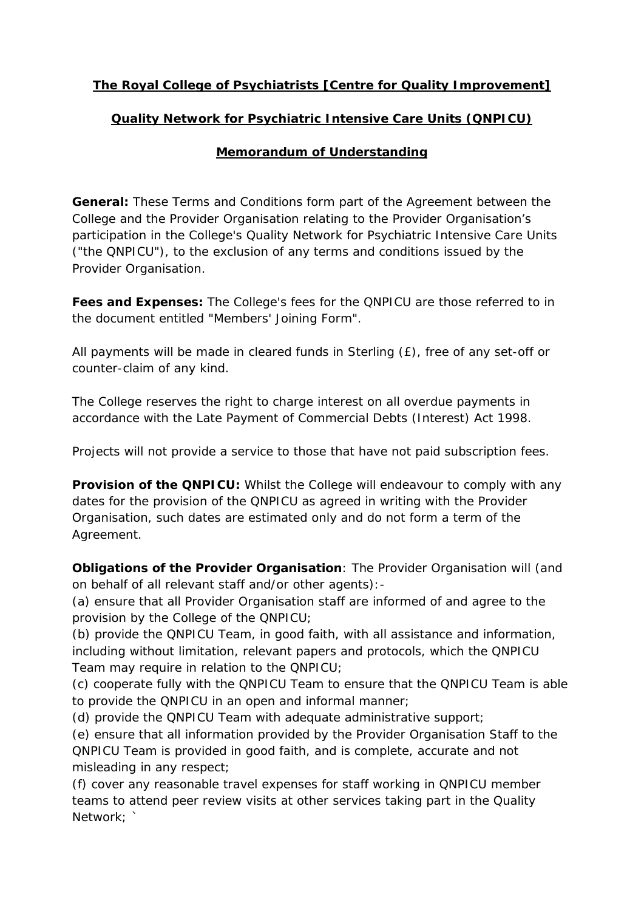## **The Royal College of Psychiatrists [Centre for Quality Improvement]**

## **Quality Network for Psychiatric Intensive Care Units (QNPICU)**

## **Memorandum of Understanding**

**General:** These Terms and Conditions form part of the Agreement between the College and the Provider Organisation relating to the Provider Organisation's participation in the College's Quality Network for Psychiatric Intensive Care Units ("the QNPICU"), to the exclusion of any terms and conditions issued by the Provider Organisation.

**Fees and Expenses:** The College's fees for the QNPICU are those referred to in the document entitled "Members' Joining Form".

All payments will be made in cleared funds in Sterling (£), free of any set-off or counter-claim of any kind.

The College reserves the right to charge interest on all overdue payments in accordance with the Late Payment of Commercial Debts (Interest) Act 1998.

Projects will not provide a service to those that have not paid subscription fees.

**Provision of the QNPICU:** Whilst the College will endeavour to comply with any dates for the provision of the QNPICU as agreed in writing with the Provider Organisation, such dates are estimated only and do not form a term of the Agreement.

**Obligations of the Provider Organisation**: The Provider Organisation will (and on behalf of all relevant staff and/or other agents):-

(a) ensure that all Provider Organisation staff are informed of and agree to the provision by the College of the QNPICU;

(b) provide the QNPICU Team, in good faith, with all assistance and information, including without limitation, relevant papers and protocols, which the QNPICU Team may require in relation to the QNPICU;

(c) cooperate fully with the QNPICU Team to ensure that the QNPICU Team is able to provide the QNPICU in an open and informal manner;

(d) provide the QNPICU Team with adequate administrative support;

(e) ensure that all information provided by the Provider Organisation Staff to the QNPICU Team is provided in good faith, and is complete, accurate and not misleading in any respect;

(f) cover any reasonable travel expenses for staff working in QNPICU member teams to attend peer review visits at other services taking part in the Quality Network: `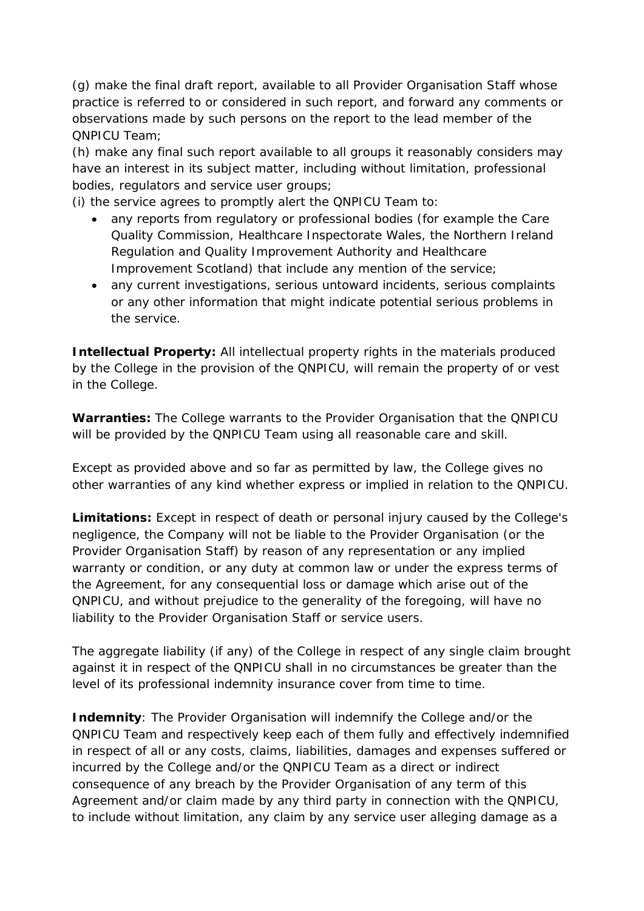(g) make the final draft report, available to all Provider Organisation Staff whose practice is referred to or considered in such report, and forward any comments or observations made by such persons on the report to the lead member of the QNPICU Team;

(h) make any final such report available to all groups it reasonably considers may have an interest in its subject matter, including without limitation, professional bodies, regulators and service user groups;

(i) the service agrees to promptly alert the QNPICU Team to:

- any reports from regulatory or professional bodies (for example the Care Quality Commission, Healthcare Inspectorate Wales, the Northern Ireland Regulation and Quality Improvement Authority and Healthcare Improvement Scotland) that include any mention of the service;
- any current investigations, serious untoward incidents, serious complaints or any other information that might indicate potential serious problems in the service.

**Intellectual Property:** All intellectual property rights in the materials produced by the College in the provision of the QNPICU, will remain the property of or vest in the College.

**Warranties:** The College warrants to the Provider Organisation that the QNPICU will be provided by the QNPICU Team using all reasonable care and skill.

Except as provided above and so far as permitted by law, the College gives no other warranties of any kind whether express or implied in relation to the QNPICU.

**Limitations:** Except in respect of death or personal injury caused by the College's negligence, the Company will not be liable to the Provider Organisation (or the Provider Organisation Staff) by reason of any representation or any implied warranty or condition, or any duty at common law or under the express terms of the Agreement, for any consequential loss or damage which arise out of the QNPICU, and without prejudice to the generality of the foregoing, will have no liability to the Provider Organisation Staff or service users.

The aggregate liability (if any) of the College in respect of any single claim brought against it in respect of the QNPICU shall in no circumstances be greater than the level of its professional indemnity insurance cover from time to time.

**Indemnity:** The Provider Organisation will indemnify the College and/or the QNPICU Team and respectively keep each of them fully and effectively indemnified in respect of all or any costs, claims, liabilities, damages and expenses suffered or incurred by the College and/or the QNPICU Team as a direct or indirect consequence of any breach by the Provider Organisation of any term of this Agreement and/or claim made by any third party in connection with the QNPICU, to include without limitation, any claim by any service user alleging damage as a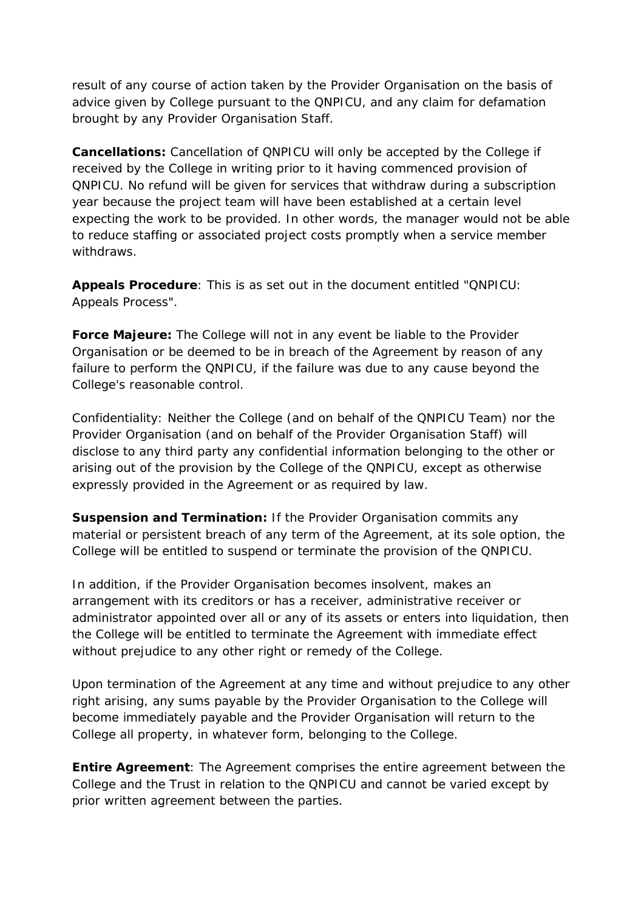result of any course of action taken by the Provider Organisation on the basis of advice given by College pursuant to the QNPICU, and any claim for defamation brought by any Provider Organisation Staff.

**Cancellations:** Cancellation of QNPICU will only be accepted by the College if received by the College in writing prior to it having commenced provision of QNPICU. No refund will be given for services that withdraw during a subscription year because the project team will have been established at a certain level expecting the work to be provided. In other words, the manager would not be able to reduce staffing or associated project costs promptly when a service member withdraws.

**Appeals Procedure**: This is as set out in the document entitled "QNPICU: Appeals Process".

**Force Majeure:** The College will not in any event be liable to the Provider Organisation or be deemed to be in breach of the Agreement by reason of any failure to perform the QNPICU, if the failure was due to any cause beyond the College's reasonable control.

Confidentiality: Neither the College (and on behalf of the QNPICU Team) nor the Provider Organisation (and on behalf of the Provider Organisation Staff) will disclose to any third party any confidential information belonging to the other or arising out of the provision by the College of the QNPICU, except as otherwise expressly provided in the Agreement or as required by law.

**Suspension and Termination:** If the Provider Organisation commits any material or persistent breach of any term of the Agreement, at its sole option, the College will be entitled to suspend or terminate the provision of the QNPICU.

In addition, if the Provider Organisation becomes insolvent, makes an arrangement with its creditors or has a receiver, administrative receiver or administrator appointed over all or any of its assets or enters into liquidation, then the College will be entitled to terminate the Agreement with immediate effect without prejudice to any other right or remedy of the College.

Upon termination of the Agreement at any time and without prejudice to any other right arising, any sums payable by the Provider Organisation to the College will become immediately payable and the Provider Organisation will return to the College all property, in whatever form, belonging to the College.

**Entire Agreement**: The Agreement comprises the entire agreement between the College and the Trust in relation to the QNPICU and cannot be varied except by prior written agreement between the parties.